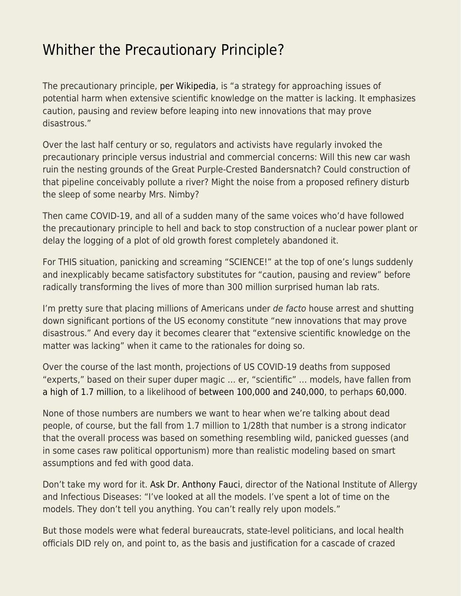## [Whither the Precautionary Principle?](https://everything-voluntary.com/whither-the-precautionary-principle)

The precautionary principle, [per Wikipedia,](https://en.wikipedia.org/wiki/Precautionary_principle) is "a strategy for approaching issues of potential harm when extensive scientific knowledge on the matter is lacking. It emphasizes caution, pausing and review before leaping into new innovations that may prove disastrous."

Over the last half century or so, regulators and activists have regularly invoked the precautionary principle versus industrial and commercial concerns: Will this new car wash ruin the nesting grounds of the Great Purple-Crested Bandersnatch? Could construction of that pipeline conceivably pollute a river? Might the noise from a proposed refinery disturb the sleep of some nearby Mrs. Nimby?

Then came COVID-19, and all of a sudden many of the same voices who'd have followed the precautionary principle to hell and back to stop construction of a nuclear power plant or delay the logging of a plot of old growth forest completely abandoned it.

For THIS situation, panicking and screaming "SCIENCE!" at the top of one's lungs suddenly and inexplicably became satisfactory substitutes for "caution, pausing and review" before radically transforming the lives of more than 300 million surprised human lab rats.

I'm pretty sure that placing millions of Americans under de facto house arrest and shutting down significant portions of the US economy constitute "new innovations that may prove disastrous." And every day it becomes clearer that "extensive scientific knowledge on the matter was lacking" when it came to the rationales for doing so.

Over the course of the last month, projections of US COVID-19 deaths from supposed "experts," based on their super duper magic … er, "scientific" … models, have fallen from [a high of 1.7 million](https://www.nytimes.com/2020/03/13/us/coronavirus-deaths-estimate.html), to a likelihood of [between 100,000 and 240,000,](https://triblive.com/news/white-house-projects-100k-to-240k-u-s-deaths-from-virus/) to perhaps [60,000](https://thehill.com/homenews/coronavirus-report/491779-fauci-looks-like-us-deaths-will-be-lower-than-original-projection).

None of those numbers are numbers we want to hear when we're talking about dead people, of course, but the fall from 1.7 million to 1/28th that number is a strong indicator that the overall process was based on something resembling wild, panicked guesses (and in some cases raw political opportunism) more than realistic modeling based on smart assumptions and fed with good data.

Don't take my word for it. [Ask Dr. Anthony Fauci](https://www.washingtonpost.com/health/2020/04/02/experts-trumps-advisers-doubt-white-houses-240000-coronavirus-deaths-estimate/), director of the National Institute of Allergy and Infectious Diseases: "I've looked at all the models. I've spent a lot of time on the models. They don't tell you anything. You can't really rely upon models."

But those models were what federal bureaucrats, state-level politicians, and local health officials DID rely on, and point to, as the basis and justification for a cascade of crazed